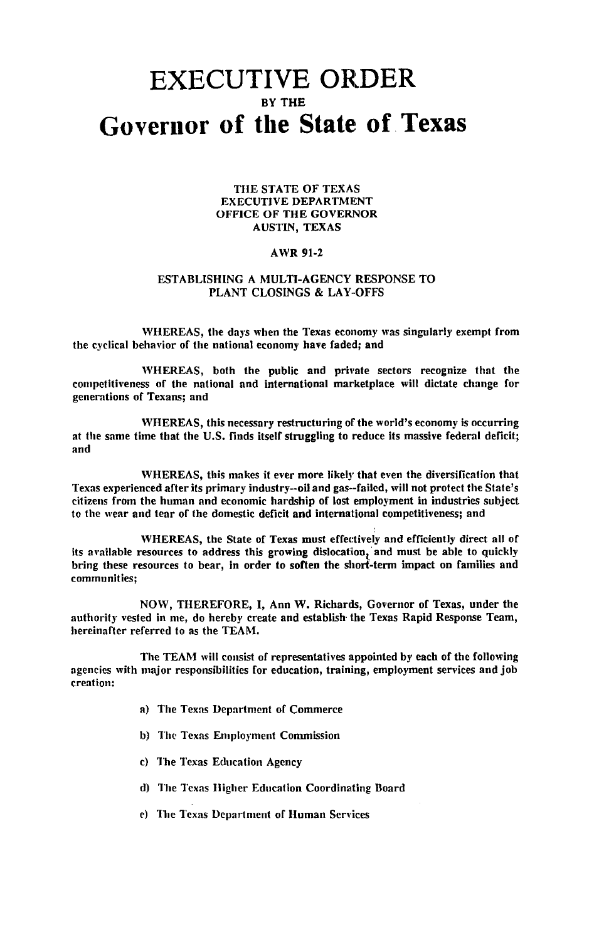## **EXECUTIVE ORDER** BY THE **Governor of tile State** of, **Texas**

## THE STATE OF TEXAS EXECUTIVE DEPARTMENT OFFICE OF THE GOVERNOR AUSTIN, TEXAS

## AWR 91-2

## ESTABLISHING A MULTI-AGENCY RESPONSE TO PLANT CLOSINGS & LAY-OFFS

WHEREAS, the days when the Texas economy was singularly exempt from the cyclical behavior of the national economy have faded; and

WHEREAS, both the public and private sectors recognize that the competitiveness of the national and international marketplace will dictate change for generations of Texans; and

WHEREAS, this necessary restructuring of the world's economy is occurring at the same time that the U.S. finds itself struggling to reduce its massive federal deficit; and

WHEREAS, this makes it ever more likely that even the diversification that Texas experienced after its primary industry-oil and gas--failed, will not protect the State's citizens from the human and economic hardship of lost employment in industries subject to the wear and tear of the domestic deficit and international competitiveness; and

WHEREAS, the State of Texas must effectively and efficiently direct all of its available resources to address this growing dislocation, and must be able to quickly bring these resources to bear, in order to soften the short-term impact on families and communities;

NOW, THEREFORE, I, Ann W. Richards, Governor of Texas, under the authority vested in me, do hereby create and establish the Texas Rapid Response Team, hereinafter referred to as the TEAM.

The TEAM will consist of representatives appointed by each of the following agencies with major responsibilities for education, training, employment services and job creation:

- a) The Texas Department of Commerce
- b) The Texas Employment Commission
- c) The Texas Education Agency
- d) The Tcxas Higher Education Coordinating Board
- e) The Texas Department of Human Services